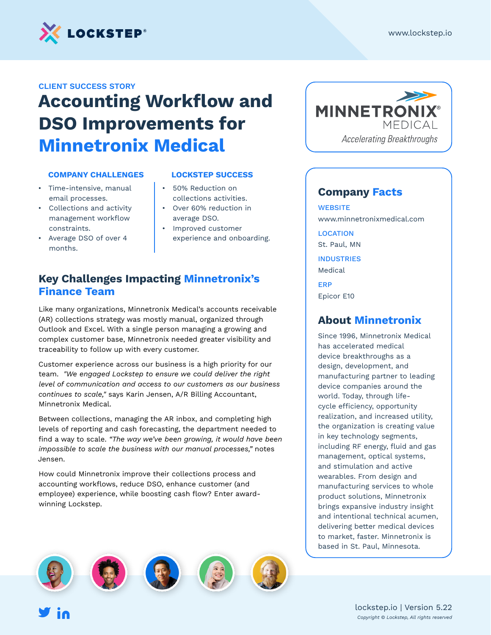

#### **CLIENT SUCCESS STORY**

# **Accounting Workflow and DSO Improvements for Minnetronix Medical**

#### **COMPANY CHALLENGES**

- Time-intensive, manual email processes.
- Collections and activity management workflow constraints.
- Average DSO of over 4 months.

#### **LOCKSTEP SUCCESS**

- 50% Reduction on collections activities.
- Over 60% reduction in average DSO.
- Improved customer experience and onboarding.

## **Key Challenges Impacting Minnetronix's Finance Team**

Like many organizations, Minnetronix Medical's accounts receivable (AR) collections strategy was mostly manual, organized through Outlook and Excel. With a single person managing a growing and complex customer base, Minnetronix needed greater visibility and traceability to follow up with every customer.

Customer experience across our business is a high priority for our team. *"We engaged Lockstep to ensure we could deliver the right level of communication and access to our customers as our business continues to scale,"* says Karin Jensen, A/R Billing Accountant, Minnetronix Medical.

Between collections, managing the AR inbox, and completing high levels of reporting and cash forecasting, the department needed to find a way to scale. *"The way we've been growing, it would have been impossible to scale the business with our manual processes,"* notes Jensen.

How could Minnetronix improve their collections process and accounting workflows, reduce DSO, enhance customer (and employee) experience, while boosting cash flow? Enter awardwinning Lockstep.



#### **Company Facts**

**WEBSITE** www.minnetronixmedical.com

**LOCATION** St. Paul, MN **INDUSTRIES** Medical

ERP

Epicor E10

#### **About Minnetronix**

Since 1996, Minnetronix Medical has accelerated medical device breakthroughs as a design, development, and manufacturing partner to leading device companies around the world. Today, through lifecycle efficiency, opportunity realization, and increased utility, the organization is creating value in key technology segments, including RF energy, fluid and gas management, optical systems, and stimulation and active wearables. From design and manufacturing services to whole product solutions, Minnetronix brings expansive industry insight and intentional technical acumen, delivering better medical devices to market, faster. Minnetronix is based in St. Paul, Minnesota.

> lockstep.io | Version 5.22 *Copyright © Lockstep, All rights reserved*